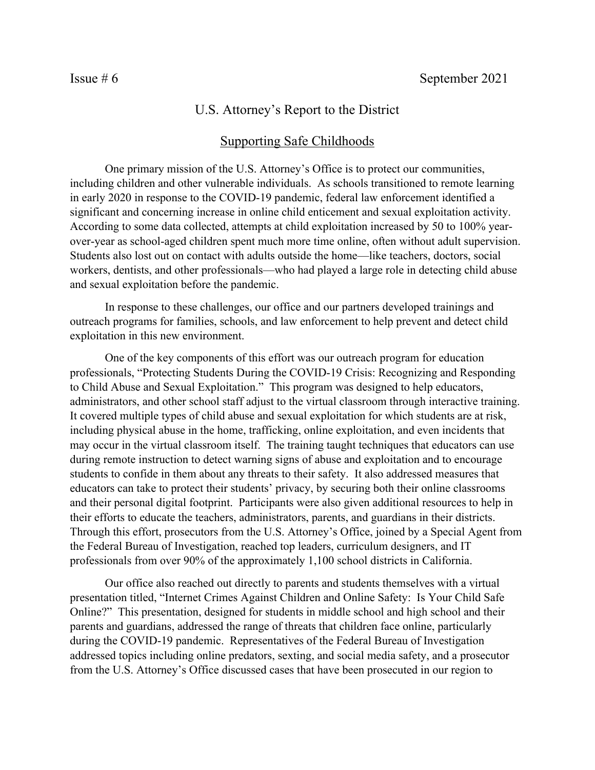## U.S. Attorney's Report to the District

## Supporting Safe Childhoods

One primary mission of the U.S. Attorney's Office is to protect our communities, including children and other vulnerable individuals. As schools transitioned to remote learning in early 2020 in response to the COVID-19 pandemic, federal law enforcement identified a significant and concerning increase in online child enticement and sexual exploitation activity. According to some data collected, attempts at child exploitation increased by 50 to 100% yearover-year as school-aged children spent much more time online, often without adult supervision. Students also lost out on contact with adults outside the home—like teachers, doctors, social workers, dentists, and other professionals—who had played a large role in detecting child abuse and sexual exploitation before the pandemic.

In response to these challenges, our office and our partners developed trainings and outreach programs for families, schools, and law enforcement to help prevent and detect child exploitation in this new environment.

One of the key components of this effort was our outreach program for education professionals, "Protecting Students During the COVID-19 Crisis: Recognizing and Responding to Child Abuse and Sexual Exploitation." This program was designed to help educators, administrators, and other school staff adjust to the virtual classroom through interactive training. It covered multiple types of child abuse and sexual exploitation for which students are at risk, including physical abuse in the home, trafficking, online exploitation, and even incidents that may occur in the virtual classroom itself. The training taught techniques that educators can use during remote instruction to detect warning signs of abuse and exploitation and to encourage students to confide in them about any threats to their safety. It also addressed measures that educators can take to protect their students' privacy, by securing both their online classrooms and their personal digital footprint. Participants were also given additional resources to help in their efforts to educate the teachers, administrators, parents, and guardians in their districts. Through this effort, prosecutors from the U.S. Attorney's Office, joined by a Special Agent from the Federal Bureau of Investigation, reached top leaders, curriculum designers, and IT professionals from over 90% of the approximately 1,100 school districts in California.

Our office also reached out directly to parents and students themselves with a virtual presentation titled, "Internet Crimes Against Children and Online Safety: Is Your Child Safe Online?" This presentation, designed for students in middle school and high school and their parents and guardians, addressed the range of threats that children face online, particularly during the COVID-19 pandemic. Representatives of the Federal Bureau of Investigation addressed topics including online predators, sexting, and social media safety, and a prosecutor from the U.S. Attorney's Office discussed cases that have been prosecuted in our region to